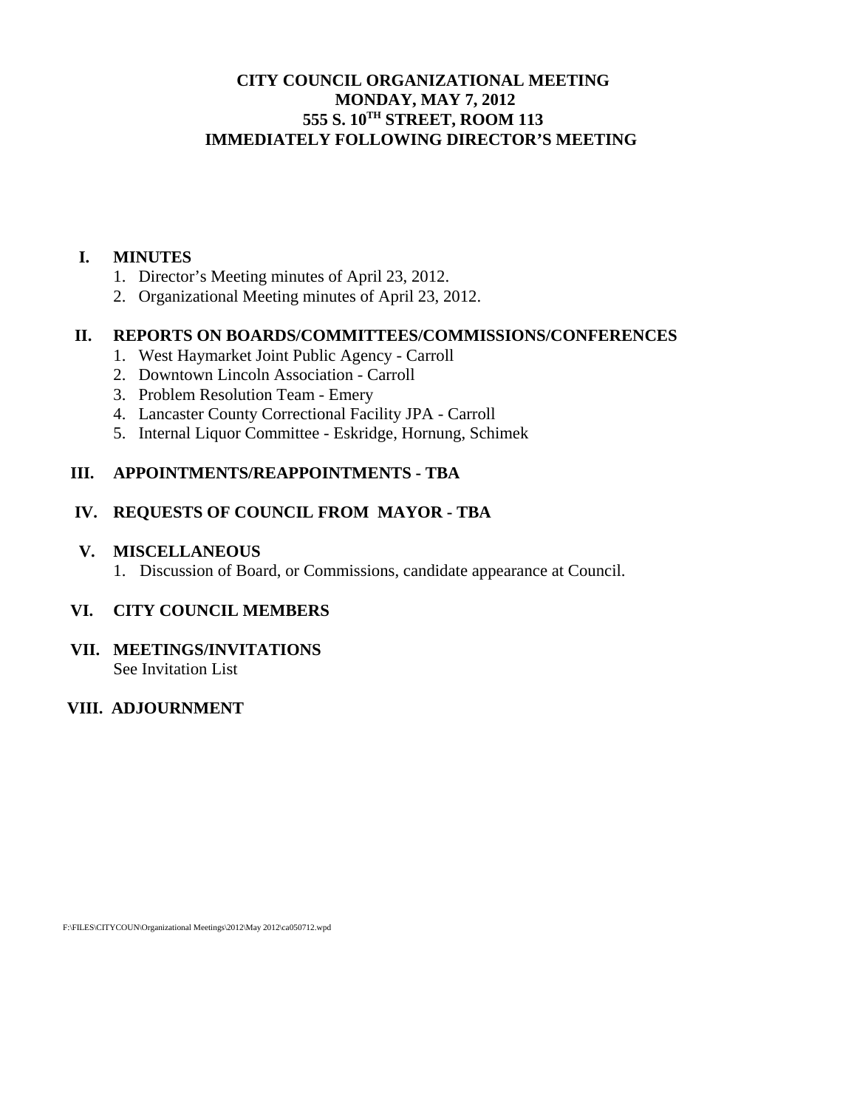# **CITY COUNCIL ORGANIZATIONAL MEETING MONDAY, MAY 7, 2012 555 S. 10TH STREET, ROOM 113 IMMEDIATELY FOLLOWING DIRECTOR'S MEETING**

### **I. MINUTES**

- 1. Director's Meeting minutes of April 23, 2012.
- 2. Organizational Meeting minutes of April 23, 2012.

## **II. REPORTS ON BOARDS/COMMITTEES/COMMISSIONS/CONFERENCES**

- 1. West Haymarket Joint Public Agency Carroll
- 2. Downtown Lincoln Association Carroll
- 3. Problem Resolution Team Emery
- 4. Lancaster County Correctional Facility JPA Carroll
- 5. Internal Liquor Committee Eskridge, Hornung, Schimek

## **III. APPOINTMENTS/REAPPOINTMENTS - TBA**

## **IV. REQUESTS OF COUNCIL FROM MAYOR - TBA**

### **V. MISCELLANEOUS**

1. Discussion of Board, or Commissions, candidate appearance at Council.

# **VI. CITY COUNCIL MEMBERS**

### **VII. MEETINGS/INVITATIONS**  See Invitation List

# **VIII. ADJOURNMENT**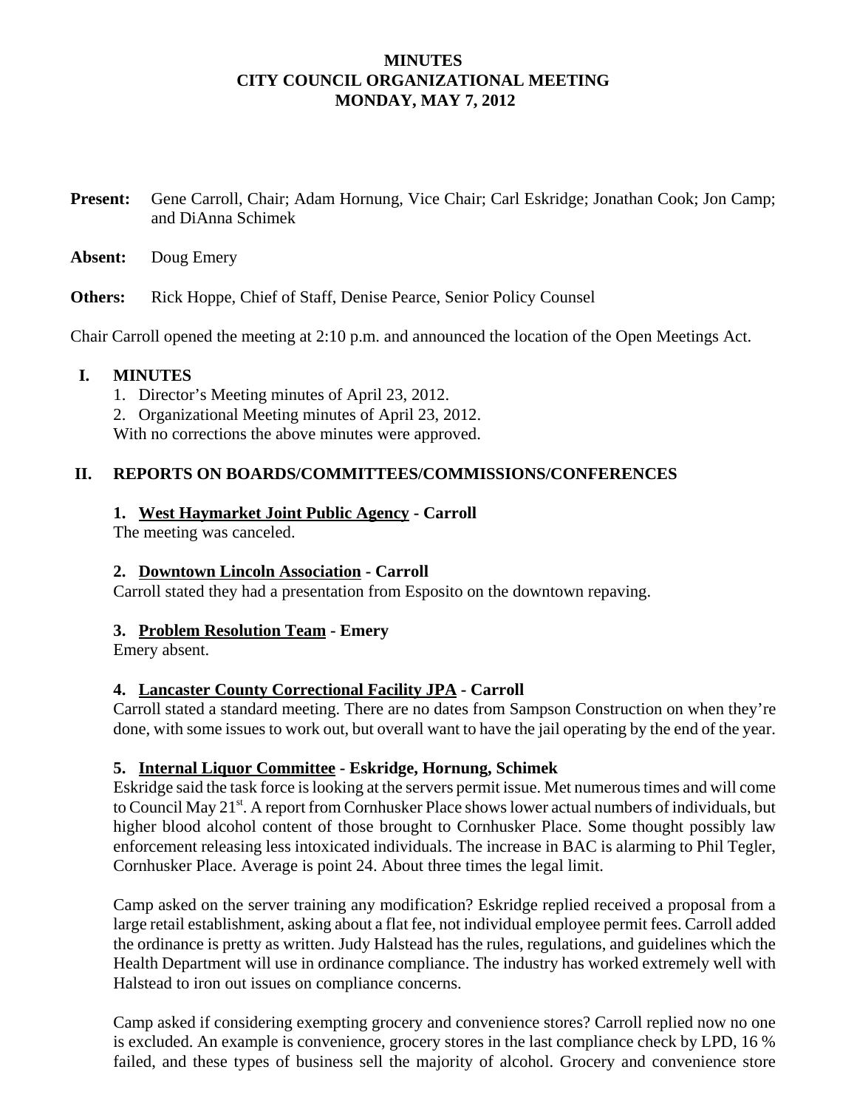## **MINUTES CITY COUNCIL ORGANIZATIONAL MEETING MONDAY, MAY 7, 2012**

**Present:** Gene Carroll, Chair; Adam Hornung, Vice Chair; Carl Eskridge; Jonathan Cook; Jon Camp; and DiAnna Schimek

**Absent:** Doug Emery

**Others:** Rick Hoppe, Chief of Staff, Denise Pearce, Senior Policy Counsel

Chair Carroll opened the meeting at 2:10 p.m. and announced the location of the Open Meetings Act.

## **I. MINUTES**

- 1. Director's Meeting minutes of April 23, 2012.
- 2. Organizational Meeting minutes of April 23, 2012.

With no corrections the above minutes were approved.

## **II. REPORTS ON BOARDS/COMMITTEES/COMMISSIONS/CONFERENCES**

## **1. West Haymarket Joint Public Agency - Carroll**

The meeting was canceled.

### **2. Downtown Lincoln Association - Carroll**

Carroll stated they had a presentation from Esposito on the downtown repaving.

# **3. Problem Resolution Team - Emery**

Emery absent.

### **4. Lancaster County Correctional Facility JPA - Carroll**

Carroll stated a standard meeting. There are no dates from Sampson Construction on when they're done, with some issues to work out, but overall want to have the jail operating by the end of the year.

### **5. Internal Liquor Committee - Eskridge, Hornung, Schimek**

Eskridge said the task force is looking at the servers permit issue. Met numerous times and will come to Council May 21<sup>st</sup>. A report from Cornhusker Place shows lower actual numbers of individuals, but higher blood alcohol content of those brought to Cornhusker Place. Some thought possibly law enforcement releasing less intoxicated individuals. The increase in BAC is alarming to Phil Tegler, Cornhusker Place. Average is point 24. About three times the legal limit.

Camp asked on the server training any modification? Eskridge replied received a proposal from a large retail establishment, asking about a flat fee, not individual employee permit fees. Carroll added the ordinance is pretty as written. Judy Halstead has the rules, regulations, and guidelines which the Health Department will use in ordinance compliance. The industry has worked extremely well with Halstead to iron out issues on compliance concerns.

Camp asked if considering exempting grocery and convenience stores? Carroll replied now no one is excluded. An example is convenience, grocery stores in the last compliance check by LPD, 16 % failed, and these types of business sell the majority of alcohol. Grocery and convenience store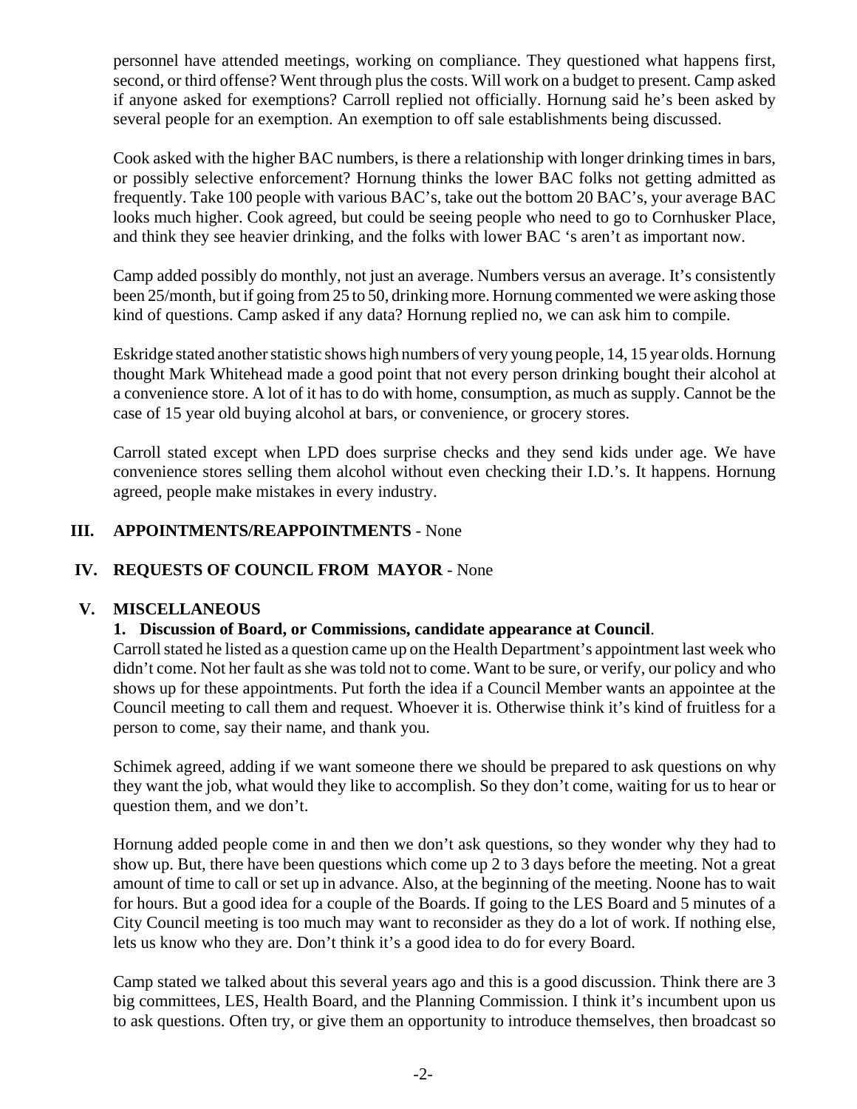personnel have attended meetings, working on compliance. They questioned what happens first, second, or third offense? Went through plus the costs. Will work on a budget to present. Camp asked if anyone asked for exemptions? Carroll replied not officially. Hornung said he's been asked by several people for an exemption. An exemption to off sale establishments being discussed.

Cook asked with the higher BAC numbers, is there a relationship with longer drinking times in bars, or possibly selective enforcement? Hornung thinks the lower BAC folks not getting admitted as frequently. Take 100 people with various BAC's, take out the bottom 20 BAC's, your average BAC looks much higher. Cook agreed, but could be seeing people who need to go to Cornhusker Place, and think they see heavier drinking, and the folks with lower BAC 's aren't as important now.

Camp added possibly do monthly, not just an average. Numbers versus an average. It's consistently been 25/month, but if going from 25 to 50, drinking more. Hornung commented we were asking those kind of questions. Camp asked if any data? Hornung replied no, we can ask him to compile.

Eskridge stated another statistic shows high numbers of very young people, 14, 15 year olds. Hornung thought Mark Whitehead made a good point that not every person drinking bought their alcohol at a convenience store. A lot of it has to do with home, consumption, as much as supply. Cannot be the case of 15 year old buying alcohol at bars, or convenience, or grocery stores.

Carroll stated except when LPD does surprise checks and they send kids under age. We have convenience stores selling them alcohol without even checking their I.D.'s. It happens. Hornung agreed, people make mistakes in every industry.

# **III. APPOINTMENTS/REAPPOINTMENTS** - None

# **IV. REQUESTS OF COUNCIL FROM MAYOR** - None

### **V. MISCELLANEOUS**

### **1. Discussion of Board, or Commissions, candidate appearance at Council**.

Carroll stated he listed as a question came up on the Health Department's appointment last week who didn't come. Not her fault as she was told not to come. Want to be sure, or verify, our policy and who shows up for these appointments. Put forth the idea if a Council Member wants an appointee at the Council meeting to call them and request. Whoever it is. Otherwise think it's kind of fruitless for a person to come, say their name, and thank you.

Schimek agreed, adding if we want someone there we should be prepared to ask questions on why they want the job, what would they like to accomplish. So they don't come, waiting for us to hear or question them, and we don't.

Hornung added people come in and then we don't ask questions, so they wonder why they had to show up. But, there have been questions which come up 2 to 3 days before the meeting. Not a great amount of time to call or set up in advance. Also, at the beginning of the meeting. Noone has to wait for hours. But a good idea for a couple of the Boards. If going to the LES Board and 5 minutes of a City Council meeting is too much may want to reconsider as they do a lot of work. If nothing else, lets us know who they are. Don't think it's a good idea to do for every Board.

Camp stated we talked about this several years ago and this is a good discussion. Think there are 3 big committees, LES, Health Board, and the Planning Commission. I think it's incumbent upon us to ask questions. Often try, or give them an opportunity to introduce themselves, then broadcast so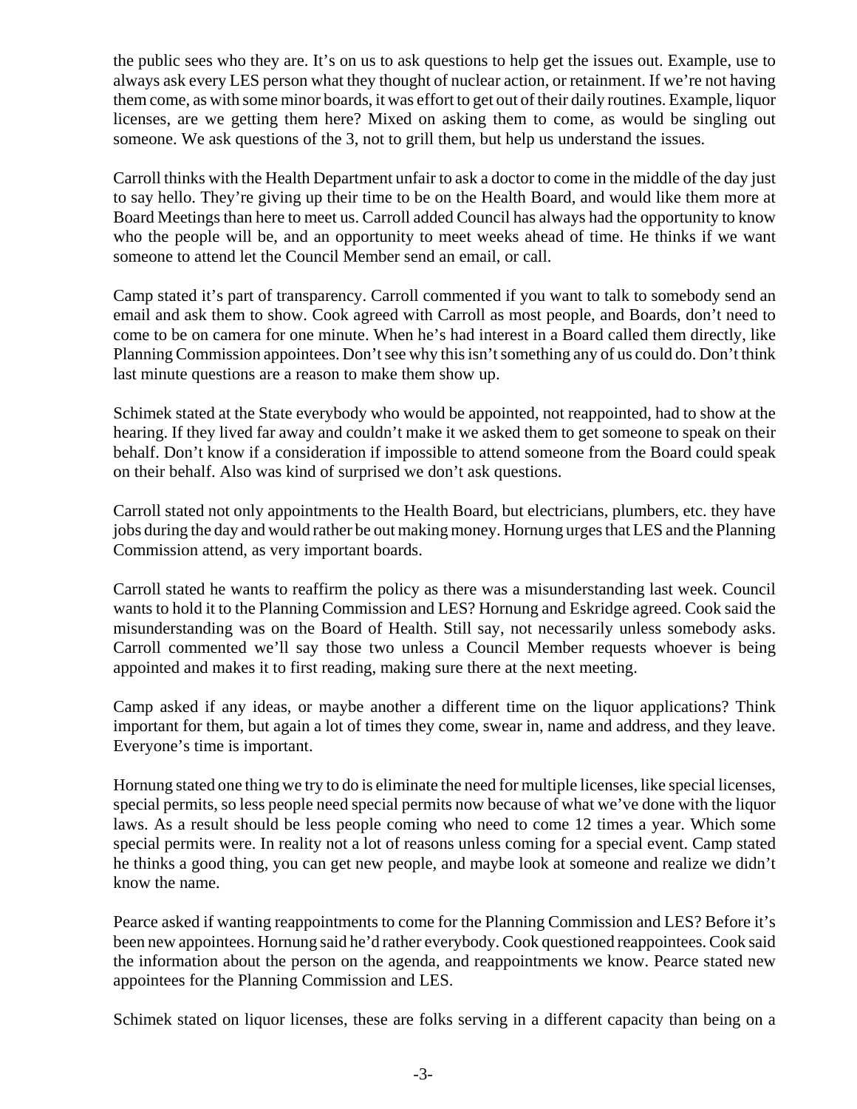the public sees who they are. It's on us to ask questions to help get the issues out. Example, use to always ask every LES person what they thought of nuclear action, or retainment. If we're not having them come, as with some minor boards, it was effort to get out of their daily routines. Example, liquor licenses, are we getting them here? Mixed on asking them to come, as would be singling out someone. We ask questions of the 3, not to grill them, but help us understand the issues.

Carroll thinks with the Health Department unfair to ask a doctor to come in the middle of the day just to say hello. They're giving up their time to be on the Health Board, and would like them more at Board Meetings than here to meet us. Carroll added Council has always had the opportunity to know who the people will be, and an opportunity to meet weeks ahead of time. He thinks if we want someone to attend let the Council Member send an email, or call.

Camp stated it's part of transparency. Carroll commented if you want to talk to somebody send an email and ask them to show. Cook agreed with Carroll as most people, and Boards, don't need to come to be on camera for one minute. When he's had interest in a Board called them directly, like Planning Commission appointees. Don't see why this isn't something any of us could do. Don't think last minute questions are a reason to make them show up.

Schimek stated at the State everybody who would be appointed, not reappointed, had to show at the hearing. If they lived far away and couldn't make it we asked them to get someone to speak on their behalf. Don't know if a consideration if impossible to attend someone from the Board could speak on their behalf. Also was kind of surprised we don't ask questions.

Carroll stated not only appointments to the Health Board, but electricians, plumbers, etc. they have jobs during the day and would rather be out making money. Hornung urges that LES and the Planning Commission attend, as very important boards.

Carroll stated he wants to reaffirm the policy as there was a misunderstanding last week. Council wants to hold it to the Planning Commission and LES? Hornung and Eskridge agreed. Cook said the misunderstanding was on the Board of Health. Still say, not necessarily unless somebody asks. Carroll commented we'll say those two unless a Council Member requests whoever is being appointed and makes it to first reading, making sure there at the next meeting.

Camp asked if any ideas, or maybe another a different time on the liquor applications? Think important for them, but again a lot of times they come, swear in, name and address, and they leave. Everyone's time is important.

Hornung stated one thing we try to do is eliminate the need for multiple licenses, like special licenses, special permits, so less people need special permits now because of what we've done with the liquor laws. As a result should be less people coming who need to come 12 times a year. Which some special permits were. In reality not a lot of reasons unless coming for a special event. Camp stated he thinks a good thing, you can get new people, and maybe look at someone and realize we didn't know the name.

Pearce asked if wanting reappointments to come for the Planning Commission and LES? Before it's been new appointees. Hornung said he'd rather everybody. Cook questioned reappointees. Cook said the information about the person on the agenda, and reappointments we know. Pearce stated new appointees for the Planning Commission and LES.

Schimek stated on liquor licenses, these are folks serving in a different capacity than being on a